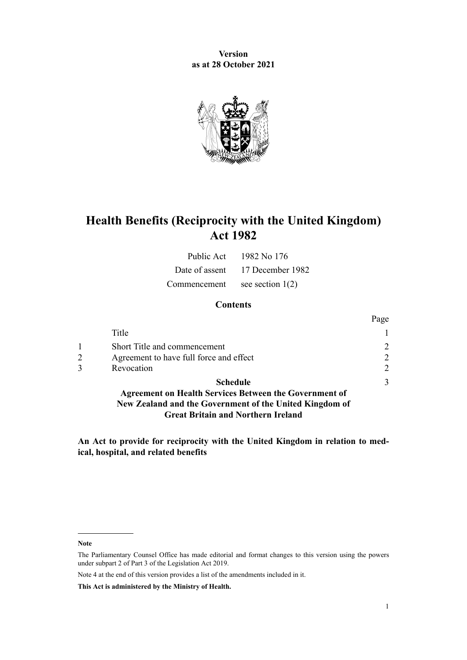**Version as at 28 October 2021**



# **Health Benefits (Reciprocity with the United Kingdom) Act 1982**

| Public Act   | 1982 No 176                     |
|--------------|---------------------------------|
|              | Date of assent 17 December 1982 |
| Commencement | see section $1(2)$              |

### **Contents**

|                |                                                               | Page                        |
|----------------|---------------------------------------------------------------|-----------------------------|
|                | Title                                                         |                             |
|                | Short Title and commencement                                  | $\mathfrak{D}_{1}^{(1)}$    |
| $\overline{2}$ | Agreement to have full force and effect                       | $\mathcal{D}$               |
|                | Revocation                                                    | $\mathcal{D}_{\mathcal{L}}$ |
|                | <b>Schedule</b>                                               | 3                           |
|                | <b>Agreement on Health Services Between the Government of</b> |                             |

**[New Zealand and the Government of the United Kingdom of](#page-2-0) [Great Britain and Northern Ireland](#page-2-0)**

**An Act to provide for reciprocity with the United Kingdom in relation to med‐ ical, hospital, and related benefits**

**Note**

Note 4 at the end of this version provides a list of the amendments included in it.

**This Act is administered by the Ministry of Health.**

The Parliamentary Counsel Office has made editorial and format changes to this version using the powers under [subpart 2](http://legislation.govt.nz/pdflink.aspx?id=DLM7298371) of Part 3 of the Legislation Act 2019.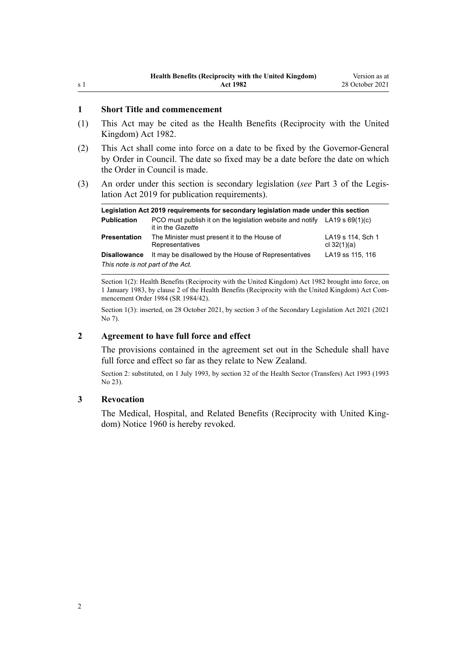#### <span id="page-1-0"></span>**1 Short Title and commencement**

- (1) This Act may be cited as the Health Benefits (Reciprocity with the United Kingdom) Act 1982.
- (2) This Act shall come into force on a date to be fixed by the Governor-General by Order in Council. The date so fixed may be a date before the date on which the Order in Council is made.
- (3) An order under this section is secondary legislation (*see* [Part 3](http://legislation.govt.nz/pdflink.aspx?id=DLM7298343) of the Legis‐ lation Act 2019 for publication requirements).

| Legislation Act 2019 requirements for secondary legislation made under this section |                                                                                                |                                    |  |  |  |
|-------------------------------------------------------------------------------------|------------------------------------------------------------------------------------------------|------------------------------------|--|--|--|
| <b>Publication</b>                                                                  | PCO must publish it on the legislation website and notify LA19 s 69(1)(c)<br>it in the Gazette |                                    |  |  |  |
| <b>Presentation</b>                                                                 | The Minister must present it to the House of<br>Representatives                                | LA19 s 114, Sch 1<br>cl $32(1)(a)$ |  |  |  |
| <b>Disallowance</b>                                                                 | It may be disallowed by the House of Representatives                                           | LA19 ss 115, 116                   |  |  |  |
| This note is not part of the Act.                                                   |                                                                                                |                                    |  |  |  |

Section 1(2): Health Benefits (Reciprocity with the United Kingdom) Act 1982 brought into force, on 1 January 1983, by [clause 2](http://legislation.govt.nz/pdflink.aspx?id=DLM95193) of the Health Benefits (Reciprocity with the United Kingdom) Act Com‐ mencement Order 1984 (SR 1984/42).

Section 1(3): inserted, on 28 October 2021, by [section 3](http://legislation.govt.nz/pdflink.aspx?id=LMS268932) of the Secondary Legislation Act 2021 (2021 No 7).

#### **2 Agreement to have full force and effect**

The provisions contained in the agreement set out in the [Schedule](#page-2-0) shall have full force and effect so far as they relate to New Zealand.

Section 2: substituted, on 1 July 1993, by [section 32](http://legislation.govt.nz/pdflink.aspx?id=DLM295182) of the Health Sector (Transfers) Act 1993 (1993 No 23).

#### **3 Revocation**

The Medical, Hospital, and Related Benefits (Reciprocity with United King‐ dom) Notice 1960 is hereby revoked.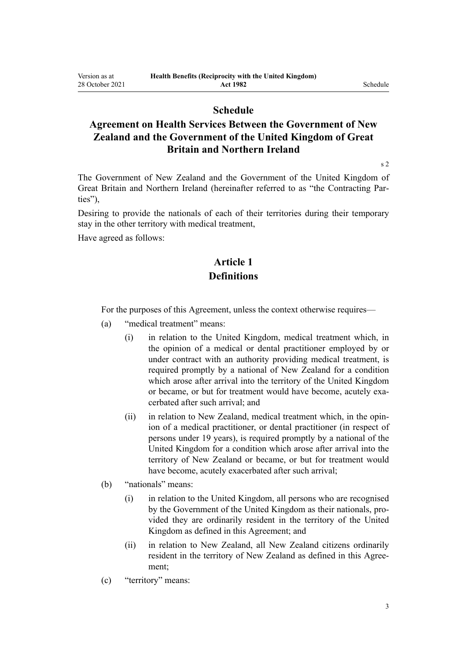### **Schedule**

# <span id="page-2-0"></span>**Agreement on Health Services Between the Government of New Zealand and the Government of the United Kingdom of Great Britain and Northern Ireland**

[s 2](#page-1-0)

The Government of New Zealand and the Government of the United Kingdom of Great Britain and Northern Ireland (hereinafter referred to as "the Contracting Par‐ ties"),

Desiring to provide the nationals of each of their territories during their temporary stay in the other territory with medical treatment,

Have agreed as follows:

# **Article 1 Definitions**

For the purposes of this Agreement, unless the context otherwise requires—

- (a) "medical treatment" means:
	- (i) in relation to the United Kingdom, medical treatment which, in the opinion of a medical or dental practitioner employed by or under contract with an authority providing medical treatment, is required promptly by a national of New Zealand for a condition which arose after arrival into the territory of the United Kingdom or became, or but for treatment would have become, acutely exacerbated after such arrival; and
	- (ii) in relation to New Zealand, medical treatment which, in the opinion of a medical practitioner, or dental practitioner (in respect of persons under 19 years), is required promptly by a national of the United Kingdom for a condition which arose after arrival into the territory of New Zealand or became, or but for treatment would have become, acutely exacerbated after such arrival;
- (b) "nationals" means:
	- (i) in relation to the United Kingdom, all persons who are recognised by the Government of the United Kingdom as their nationals, pro‐ vided they are ordinarily resident in the territory of the United Kingdom as defined in this Agreement; and
	- (ii) in relation to New Zealand, all New Zealand citizens ordinarily resident in the territory of New Zealand as defined in this Agree ment;
- (c) "territory" means: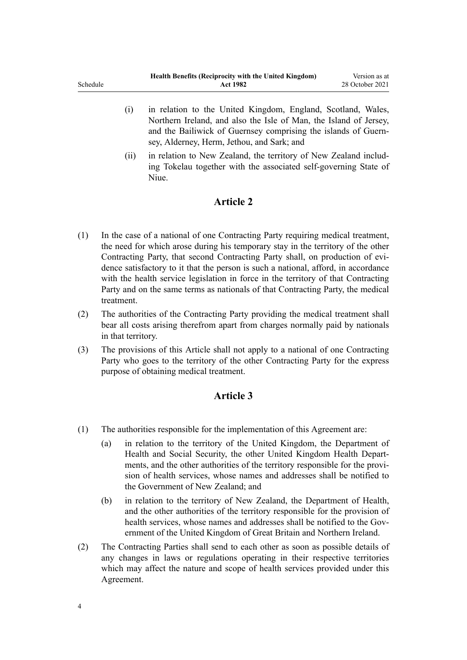| Schedule |     | Health Benefits (Reciprocity with the United Kingdom)<br><b>Act 1982</b>                                                                                                                            | Version as at<br>28 October 2021 |
|----------|-----|-----------------------------------------------------------------------------------------------------------------------------------------------------------------------------------------------------|----------------------------------|
|          | (1) | in relation to the United Kingdom, England, Scotland, Wales,<br>Northern Ireland, and also the Isle of Man, the Island of Jersey,<br>and the Bailiwick of Guernsey comprising the islands of Guern- |                                  |
|          |     | sey, Alderney, Herm, Jethou, and Sark; and                                                                                                                                                          |                                  |

(ii) in relation to New Zealand, the territory of New Zealand includ‐ ing Tokelau together with the associated self-governing State of Niue.

## **Article 2**

- (1) In the case of a national of one Contracting Party requiring medical treatment, the need for which arose during his temporary stay in the territory of the other Contracting Party, that second Contracting Party shall, on production of evidence satisfactory to it that the person is such a national, afford, in accordance with the health service legislation in force in the territory of that Contracting Party and on the same terms as nationals of that Contracting Party, the medical treatment.
- (2) The authorities of the Contracting Party providing the medical treatment shall bear all costs arising therefrom apart from charges normally paid by nationals in that territory.
- (3) The provisions of this Article shall not apply to a national of one Contracting Party who goes to the territory of the other Contracting Party for the express purpose of obtaining medical treatment.

#### **Article 3**

- (1) The authorities responsible for the implementation of this Agreement are:
	- (a) in relation to the territory of the United Kingdom, the Department of Health and Social Security, the other United Kingdom Health Departments, and the other authorities of the territory responsible for the provision of health services, whose names and addresses shall be notified to the Government of New Zealand; and
	- (b) in relation to the territory of New Zealand, the Department of Health, and the other authorities of the territory responsible for the provision of health services, whose names and addresses shall be notified to the Government of the United Kingdom of Great Britain and Northern Ireland.
- (2) The Contracting Parties shall send to each other as soon as possible details of any changes in laws or regulations operating in their respective territories which may affect the nature and scope of health services provided under this Agreement.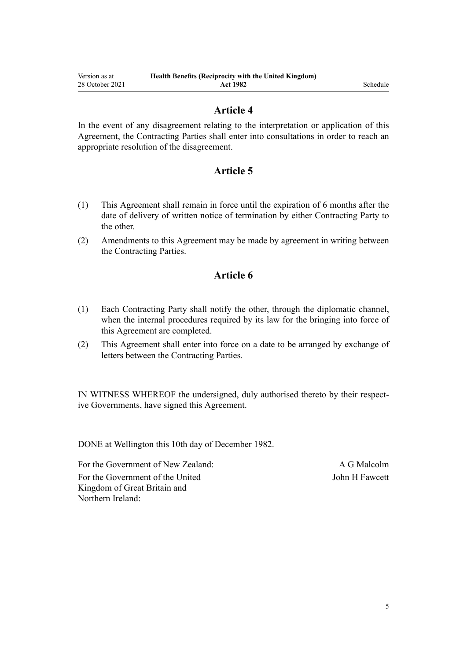#### **Article 4**

In the event of any disagreement relating to the interpretation or application of this Agreement, the Contracting Parties shall enter into consultations in order to reach an appropriate resolution of the disagreement.

## **Article 5**

- (1) This Agreement shall remain in force until the expiration of 6 months after the date of delivery of written notice of termination by either Contracting Party to the other.
- (2) Amendments to this Agreement may be made by agreement in writing between the Contracting Parties.

# **Article 6**

- (1) Each Contracting Party shall notify the other, through the diplomatic channel, when the internal procedures required by its law for the bringing into force of this Agreement are completed.
- (2) This Agreement shall enter into force on a date to be arranged by exchange of letters between the Contracting Parties.

IN WITNESS WHEREOF the undersigned, duly authorised thereto by their respective Governments, have signed this Agreement.

DONE at Wellington this 10th day of December 1982.

For the Government of New Zealand: A G Malcolm For the Government of the United Kingdom of Great Britain and Northern Ireland:

John H Fawcett